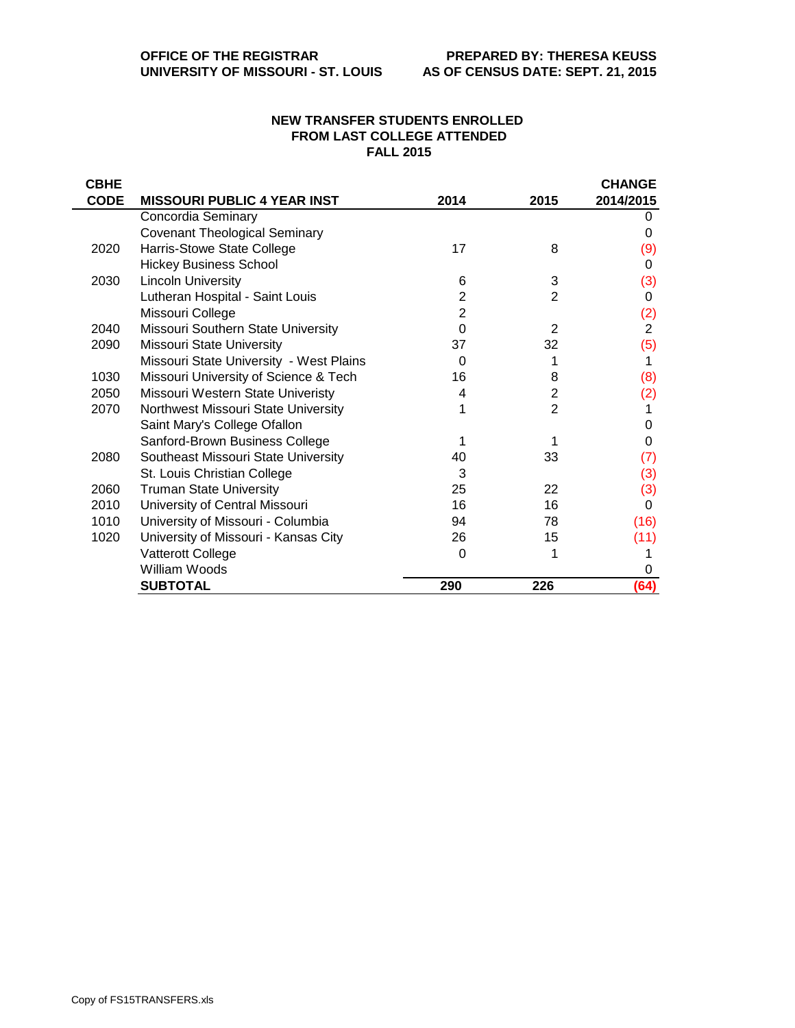## **NEW TRANSFER STUDENTS ENROLLED FROM LAST COLLEGE ATTENDED FALL 2015**

| <b>CBHE</b> |                                         |                |                | <b>CHANGE</b>  |
|-------------|-----------------------------------------|----------------|----------------|----------------|
| <b>CODE</b> | <b>MISSOURI PUBLIC 4 YEAR INST</b>      | 2014           | 2015           | 2014/2015      |
|             | Concordia Seminary                      |                |                | 0              |
|             | <b>Covenant Theological Seminary</b>    |                |                | 0              |
| 2020        | Harris-Stowe State College              | 17             | 8              | (9)            |
|             | <b>Hickey Business School</b>           |                |                | 0              |
| 2030        | <b>Lincoln University</b>               | 6              | 3              | (3)            |
|             | Lutheran Hospital - Saint Louis         | $\overline{2}$ | $\overline{2}$ | 0              |
|             | Missouri College                        | 2              |                | (2)            |
| 2040        | Missouri Southern State University      | $\Omega$       | $\overline{2}$ | $\overline{2}$ |
| 2090        | Missouri State University               | 37             | 32             | (5)            |
|             | Missouri State University - West Plains | $\Omega$       |                | 1              |
| 1030        | Missouri University of Science & Tech   | 16             | 8              | (8)            |
| 2050        | Missouri Western State Univeristy       | 4              | 2              | (2)            |
| 2070        | Northwest Missouri State University     |                | $\overline{2}$ |                |
|             | Saint Mary's College Ofallon            |                |                | 0              |
|             | Sanford-Brown Business College          |                |                | 0              |
| 2080        | Southeast Missouri State University     | 40             | 33             | (7)            |
|             | St. Louis Christian College             | 3              |                | (3)            |
| 2060        | <b>Truman State University</b>          | 25             | 22             | (3)            |
| 2010        | University of Central Missouri          | 16             | 16             | 0              |
| 1010        | University of Missouri - Columbia       | 94             | 78             | (16)           |
| 1020        | University of Missouri - Kansas City    | 26             | 15             | (11)           |
|             | Vatterott College                       | $\Omega$       |                |                |
|             | William Woods                           |                |                | 0              |
|             | <b>SUBTOTAL</b>                         | 290            | 226            | (64)           |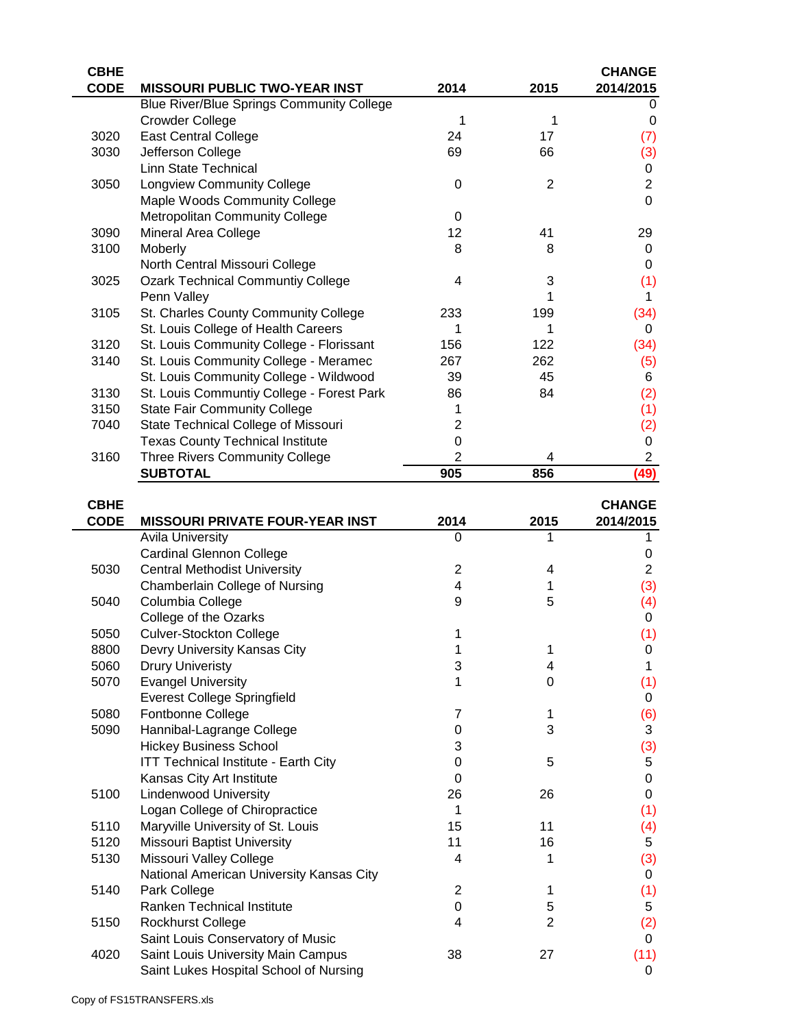| <b>CBHE</b> |                                                            |                  |                | <b>CHANGE</b>       |
|-------------|------------------------------------------------------------|------------------|----------------|---------------------|
| <b>CODE</b> | <b>MISSOURI PUBLIC TWO-YEAR INST</b>                       | 2014             | 2015           | 2014/2015           |
|             | <b>Blue River/Blue Springs Community College</b>           |                  |                | 0                   |
|             | <b>Crowder College</b>                                     | 1                | 1              | 0                   |
| 3020        | <b>East Central College</b>                                | 24               | 17             | (7)                 |
| 3030        | Jefferson College                                          | 69               | 66             | (3)                 |
|             | <b>Linn State Technical</b>                                |                  |                | 0                   |
| 3050        | <b>Longview Community College</b>                          | 0                | $\overline{2}$ | $\mathbf 2$         |
|             | Maple Woods Community College                              |                  |                | $\overline{0}$      |
|             | <b>Metropolitan Community College</b>                      | $\boldsymbol{0}$ |                |                     |
| 3090        | Mineral Area College                                       | 12               | 41             | 29                  |
| 3100        | Moberly                                                    | 8                | 8              | $\overline{0}$      |
|             | North Central Missouri College                             |                  |                | 0                   |
| 3025        | <b>Ozark Technical Communtiy College</b>                   | 4                | 3              | (1)                 |
|             | Penn Valley                                                |                  | 1              | 1                   |
| 3105        | St. Charles County Community College                       | 233              | 199            | (34)                |
|             | St. Louis College of Health Careers                        | 1                | 1              | 0                   |
| 3120        | St. Louis Community College - Florissant                   | 156              | 122            | (34)                |
| 3140        | St. Louis Community College - Meramec                      | 267              | 262            | (5)                 |
|             | St. Louis Community College - Wildwood                     | 39               | 45             | 6                   |
| 3130        | St. Louis Communtiy College - Forest Park                  | 86               | 84             | (2)                 |
| 3150        | <b>State Fair Community College</b>                        | 1                |                | (1)                 |
| 7040        | State Technical College of Missouri                        | $\overline{c}$   |                | (2)                 |
|             | <b>Texas County Technical Institute</b>                    | $\mathbf 0$      |                | 0                   |
| 3160        | <b>Three Rivers Community College</b>                      | $\overline{2}$   | 4              | $\overline{c}$      |
|             | <b>SUBTOTAL</b>                                            | 905              | 856            | (49)                |
|             |                                                            |                  |                |                     |
| <b>CBHE</b> |                                                            |                  |                | <b>CHANGE</b>       |
| <b>CODE</b> | <b>MISSOURI PRIVATE FOUR-YEAR INST</b>                     | 2014<br>0        | 2015<br>1      | 2014/2015<br>1      |
|             | <b>Avila University</b><br><b>Cardinal Glennon College</b> |                  |                |                     |
| 5030        | <b>Central Methodist University</b>                        | $\overline{2}$   |                | 0<br>$\overline{2}$ |
|             | Chamberlain College of Nursing                             | 4                | 4<br>1         |                     |
| 5040        | Columbia College                                           | 9                | 5              | (3)                 |
|             | College of the Ozarks                                      |                  |                | (4)<br>0            |
| 5050        | <b>Culver-Stockton College</b>                             | 1                |                |                     |
| 8800        | Devry University Kansas City                               | 1                | 1              | (1)<br>0            |
| 5060        | <b>Drury Univeristy</b>                                    | 3                | 4              | 1                   |
| 5070        | <b>Evangel University</b>                                  | 1                | 0              | (1)                 |
|             | <b>Everest College Springfield</b>                         |                  |                | 0                   |
| 5080        | Fontbonne College                                          | 7                | 1              | (6)                 |
| 5090        | Hannibal-Lagrange College                                  | 0                | 3              | 3                   |
|             | <b>Hickey Business School</b>                              | 3                |                | (3)                 |
|             | <b>ITT Technical Institute - Earth City</b>                | 0                | 5              | 5                   |
|             | Kansas City Art Institute                                  | 0                |                | 0                   |
| 5100        | <b>Lindenwood University</b>                               | 26               | 26             | 0                   |

 $\overline{a}$ 

 $\overline{\phantom{0}}$ 

5100 Lindenwood University 26 26

Logan College of Chiropractice 1 (1) (1)

National American University Kansas City **2008** 2009 12:30 12:30 2009 12:30 12:30 12:30 12:30 12:30 12:30 12:30

5110 Maryville University of St. Louis 15 11 (4) 5120 Missouri Baptist University 11 15 16 5130 Missouri Valley College 1 1 1 (3)

5140 Park College 2 1 (1)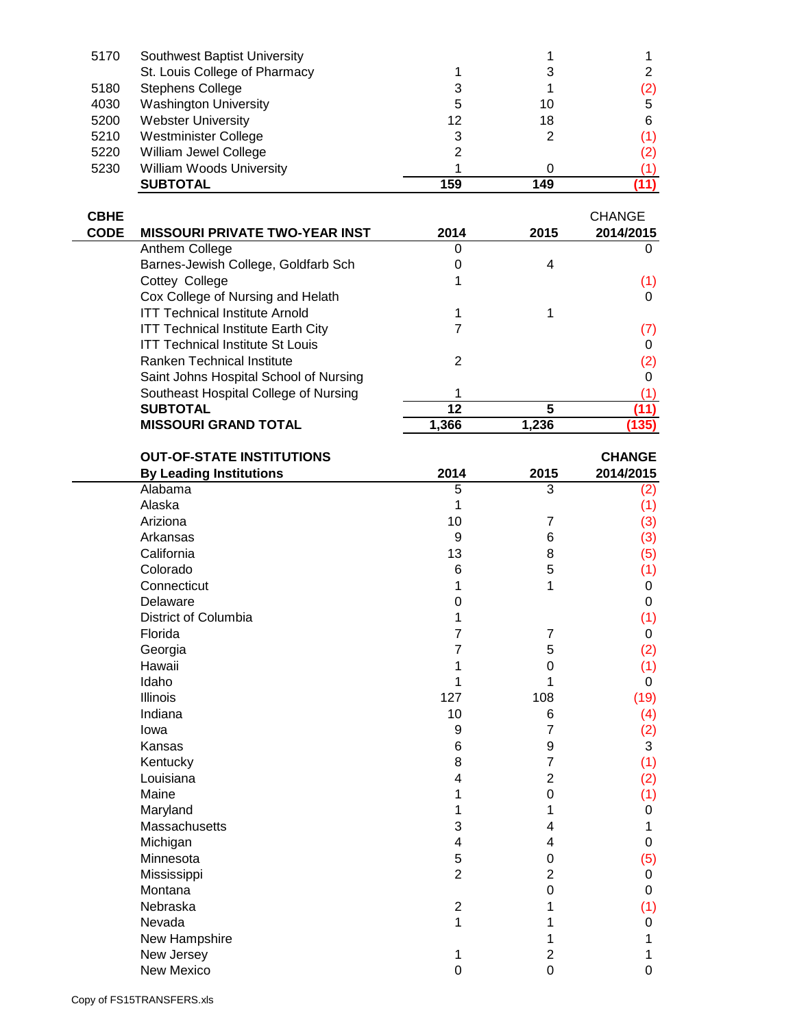| 5170 | Southwest Baptist University    |     |     |     |
|------|---------------------------------|-----|-----|-----|
|      | St. Louis College of Pharmacy   |     |     |     |
| 5180 | <b>Stephens College</b>         | 3   |     | (2) |
| 4030 | <b>Washington University</b>    | 5   | 10  | 5   |
| 5200 | <b>Webster University</b>       | 12  | 18  | 6   |
| 5210 | Westminister College            | 3   | 2   | (1) |
| 5220 | William Jewel College           | 2   |     | (2) |
| 5230 | <b>William Woods University</b> |     |     | (1) |
|      | <b>SUBTOTAL</b>                 | 159 | 149 |     |

| <b>CBHE</b> |                                           |       |       | <b>CHANGE</b> |
|-------------|-------------------------------------------|-------|-------|---------------|
| <b>CODE</b> | <b>MISSOURI PRIVATE TWO-YEAR INST</b>     | 2014  | 2015  | 2014/2015     |
|             | Anthem College                            |       |       |               |
|             | Barnes-Jewish College, Goldfarb Sch       |       | 4     |               |
|             | Cottey College                            |       |       | (1)           |
|             | Cox College of Nursing and Helath         |       |       | 0             |
|             | <b>ITT Technical Institute Arnold</b>     |       |       |               |
|             | <b>ITT Technical Institute Earth City</b> |       |       | (7)           |
|             | <b>ITT Technical Institute St Louis</b>   |       |       |               |
|             | Ranken Technical Institute                | 2     |       | (2)           |
|             | Saint Johns Hospital School of Nursing    |       |       | O             |
|             | Southeast Hospital College of Nursing     |       |       |               |
|             | <b>SUBTOTAL</b>                           | 12    | 5     | 11)           |
|             | <b>MISSOURI GRAND TOTAL</b>               | 1.366 | 1.236 | (135)         |

| <b>OUT-OF-STATE INSTITUTIONS</b> |                         |                | <b>CHANGE</b> |
|----------------------------------|-------------------------|----------------|---------------|
| <b>By Leading Institutions</b>   | 2014                    | 2015           | 2014/2015     |
| Alabama                          | 5                       | 3              | (2)           |
| Alaska                           | 1                       |                | (1)           |
| Ariziona                         | 10                      | 7              | (3)           |
| Arkansas                         | 9                       | 6              | (3)           |
| California                       | 13                      | 8              | (5)           |
| Colorado                         | 6                       | 5              | (1)           |
| Connecticut                      | 1                       | 1              | 0             |
| Delaware                         | 0                       |                | 0             |
| District of Columbia             | 1                       |                | (1)           |
| Florida                          | 7                       | 7              | 0             |
| Georgia                          | 7                       | 5              | (2)           |
| Hawaii                           |                         | 0              | (1)           |
| Idaho                            | 1                       |                | 0             |
| <b>Illinois</b>                  | 127                     | 108            | (19)          |
| Indiana                          | 10                      | 6              | (4)           |
| lowa                             | 9                       | 7              | (2)           |
| Kansas                           | 6                       | 9              | 3             |
| Kentucky                         | 8                       | 7              | (1)           |
| Louisiana                        | 4                       | $\overline{2}$ | (2)           |
| Maine                            | 1                       | 0              | (1)           |
| Maryland                         | 1                       | 1              | 0             |
| Massachusetts                    | 3                       | 4              | 1             |
| Michigan                         | $\overline{\mathbf{4}}$ | 4              | 0             |
| Minnesota                        | 5                       | 0              | (5)           |
| Mississippi                      | $\overline{2}$          | $\overline{2}$ | 0             |
| Montana                          |                         | $\mathbf 0$    | 0             |
| Nebraska                         | $\overline{2}$          | 1              | (1)           |
| Nevada                           | 1                       | 1              | 0             |
| New Hampshire                    |                         | 1              | 1             |
| New Jersey                       | 1                       | 2              |               |
| New Mexico                       | $\mathbf 0$             | $\overline{0}$ | 0             |